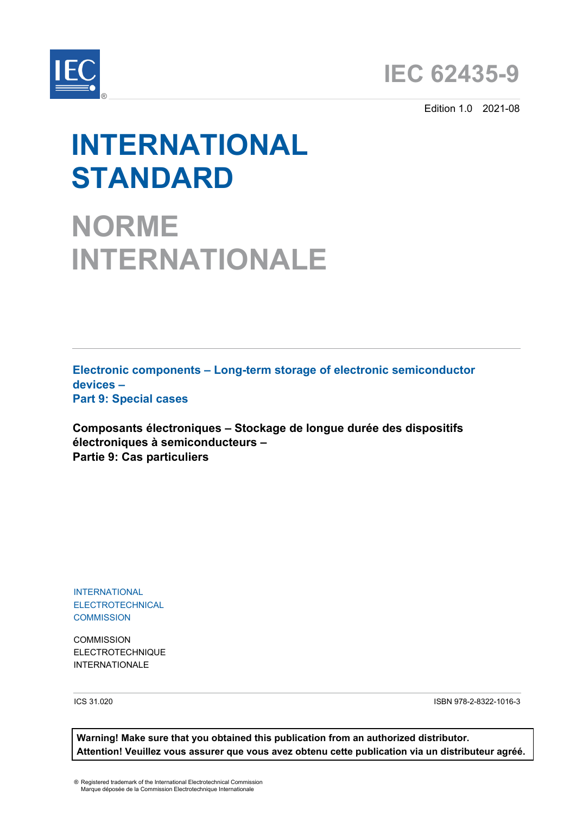



Edition 1.0 2021-08

# **INTERNATIONAL STANDARD**

**NORME INTERNATIONALE**

**Electronic components – Long-term storage of electronic semiconductor devices – Part 9: Special cases** 

**Composants électroniques – Stockage de longue durée des dispositifs électroniques à semiconducteurs – Partie 9: Cas particuliers**

INTERNATIONAL ELECTROTECHNICAL **COMMISSION** 

**COMMISSION** ELECTROTECHNIQUE INTERNATIONALE

ICS 31.020 ISBN 978-2-8322-1016-3

**Warning! Make sure that you obtained this publication from an authorized distributor. Attention! Veuillez vous assurer que vous avez obtenu cette publication via un distributeur agréé.**

® Registered trademark of the International Electrotechnical Commission Marque déposée de la Commission Electrotechnique Internationale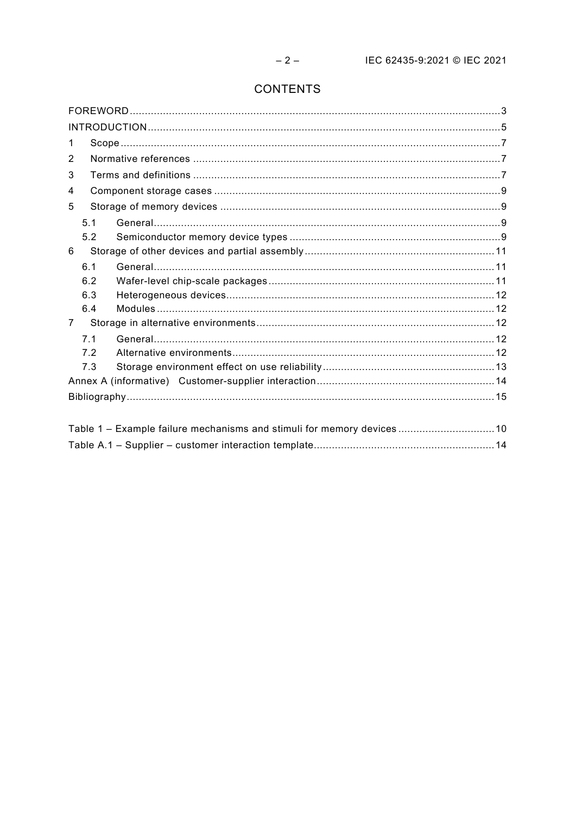# **CONTENTS**

| 1                                                                     |  |  |  |  |  |  |
|-----------------------------------------------------------------------|--|--|--|--|--|--|
| 2                                                                     |  |  |  |  |  |  |
| 3                                                                     |  |  |  |  |  |  |
| 4                                                                     |  |  |  |  |  |  |
| 5                                                                     |  |  |  |  |  |  |
| 5.1                                                                   |  |  |  |  |  |  |
| 5.2                                                                   |  |  |  |  |  |  |
| 6                                                                     |  |  |  |  |  |  |
| 6.1                                                                   |  |  |  |  |  |  |
| 6.2                                                                   |  |  |  |  |  |  |
| 6.3                                                                   |  |  |  |  |  |  |
| 6.4                                                                   |  |  |  |  |  |  |
| 7                                                                     |  |  |  |  |  |  |
| 7.1                                                                   |  |  |  |  |  |  |
| 7.2                                                                   |  |  |  |  |  |  |
| 7.3                                                                   |  |  |  |  |  |  |
|                                                                       |  |  |  |  |  |  |
|                                                                       |  |  |  |  |  |  |
|                                                                       |  |  |  |  |  |  |
| Table 1 - Example failure mechanisms and stimuli for memory devices10 |  |  |  |  |  |  |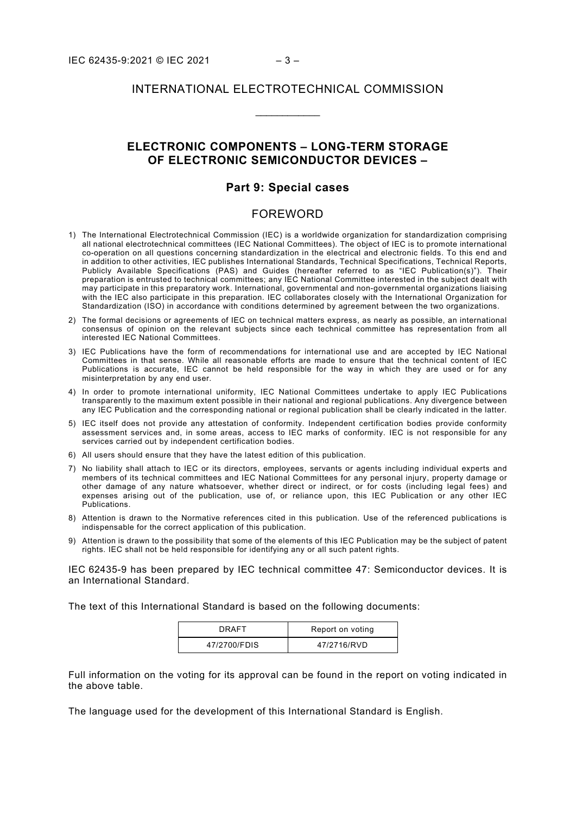## INTERNATIONAL ELECTROTECHNICAL COMMISSION

\_\_\_\_\_\_\_\_\_\_\_\_

## **ELECTRONIC COMPONENTS – LONG-TERM STORAGE OF ELECTRONIC SEMICONDUCTOR DEVICES –**

#### **Part 9: Special cases**

#### FOREWORD

- <span id="page-2-0"></span>1) The International Electrotechnical Commission (IEC) is a worldwide organization for standardization comprising all national electrotechnical committees (IEC National Committees). The object of IEC is to promote international co-operation on all questions concerning standardization in the electrical and electronic fields. To this end and in addition to other activities, IEC publishes International Standards, Technical Specifications, Technical Reports, Publicly Available Specifications (PAS) and Guides (hereafter referred to as "IEC Publication(s)"). Their preparation is entrusted to technical committees; any IEC National Committee interested in the subject dealt with may participate in this preparatory work. International, governmental and non-governmental organizations liaising with the IEC also participate in this preparation. IEC collaborates closely with the International Organization for Standardization (ISO) in accordance with conditions determined by agreement between the two organizations.
- 2) The formal decisions or agreements of IEC on technical matters express, as nearly as possible, an international consensus of opinion on the relevant subjects since each technical committee has representation from all interested IEC National Committees.
- 3) IEC Publications have the form of recommendations for international use and are accepted by IEC National Committees in that sense. While all reasonable efforts are made to ensure that the technical content of IEC Publications is accurate, IEC cannot be held responsible for the way in which they are used or for any misinterpretation by any end user.
- 4) In order to promote international uniformity, IEC National Committees undertake to apply IEC Publications transparently to the maximum extent possible in their national and regional publications. Any divergence between any IEC Publication and the corresponding national or regional publication shall be clearly indicated in the latter.
- 5) IEC itself does not provide any attestation of conformity. Independent certification bodies provide conformity assessment services and, in some areas, access to IEC marks of conformity. IEC is not responsible for any services carried out by independent certification bodies.
- 6) All users should ensure that they have the latest edition of this publication.
- 7) No liability shall attach to IEC or its directors, employees, servants or agents including individual experts and members of its technical committees and IEC National Committees for any personal injury, property damage or other damage of any nature whatsoever, whether direct or indirect, or for costs (including legal fees) and expenses arising out of the publication, use of, or reliance upon, this IEC Publication or any other IEC Publications.
- 8) Attention is drawn to the Normative references cited in this publication. Use of the referenced publications is indispensable for the correct application of this publication.
- 9) Attention is drawn to the possibility that some of the elements of this IEC Publication may be the subject of patent rights. IEC shall not be held responsible for identifying any or all such patent rights.

IEC 62435-9 has been prepared by IEC technical committee 47: Semiconductor devices. It is an International Standard.

The text of this International Standard is based on the following documents:

| DRAFT        | Report on voting |
|--------------|------------------|
| 47/2700/FDIS | 47/2716/RVD      |

Full information on the voting for its approval can be found in the report on voting indicated in the above table.

The language used for the development of this International Standard is English.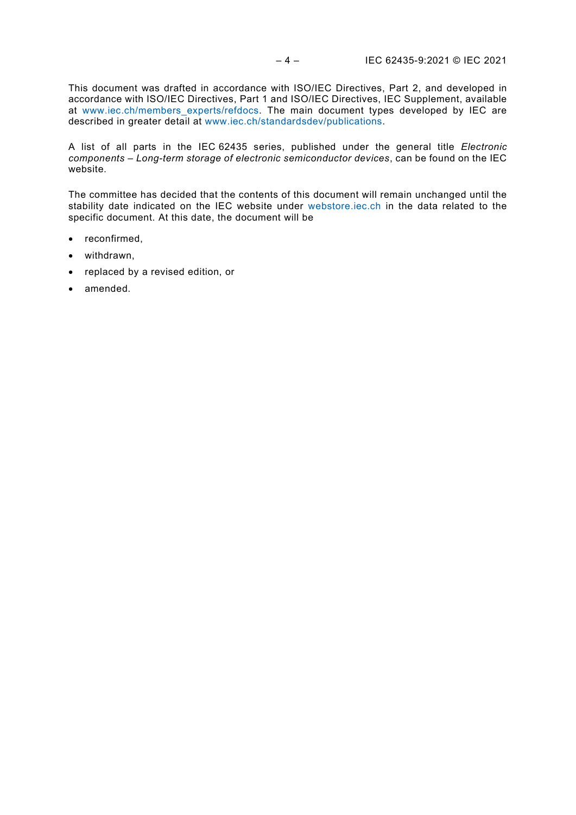This document was drafted in accordance with ISO/IEC Directives, Part 2, and developed in accordance with ISO/IEC Directives, Part 1 and ISO/IEC Directives, IEC Supplement, available at [www.iec.ch/members\\_experts/refdocs.](http://www.iec.ch/members_experts/refdocs) The main document types developed by IEC are described in greater detail at [www.iec.ch/standardsdev/publications.](http://www.iec.ch/standardsdev/publications)

A list of all parts in the IEC 62435 series, published under the general title *Electronic components – Long-term storage of electronic semiconductor devices*, can be found on the IEC website.

The committee has decided that the contents of this document will remain unchanged until the stability date indicated on the IEC website under [webstore.iec.ch](https://webstore.iec.ch/?ref=menu) in the data related to the specific document. At this date, the document will be

- reconfirmed,
- withdrawn,
- replaced by a revised edition, or
- amended.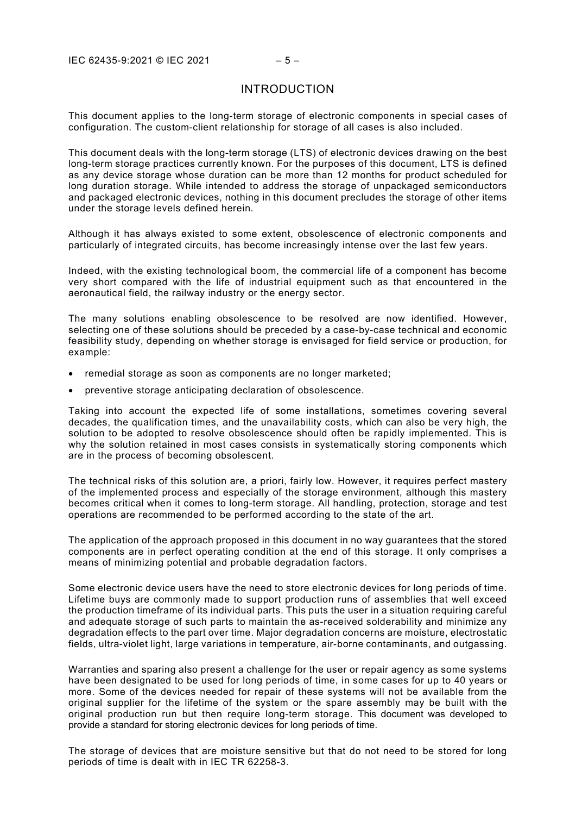## INTRODUCTION

<span id="page-4-0"></span>This document applies to the long-term storage of electronic components in special cases of configuration. The custom-client relationship for storage of all cases is also included.

This document deals with the long-term storage (LTS) of electronic devices drawing on the best long-term storage practices currently known. For the purposes of this document, LTS is defined as any device storage whose duration can be more than 12 months for product scheduled for long duration storage. While intended to address the storage of unpackaged semiconductors and packaged electronic devices, nothing in this document precludes the storage of other items under the storage levels defined herein.

Although it has always existed to some extent, obsolescence of electronic components and particularly of integrated circuits, has become increasingly intense over the last few years.

Indeed, with the existing technological boom, the commercial life of a component has become very short compared with the life of industrial equipment such as that encountered in the aeronautical field, the railway industry or the energy sector.

The many solutions enabling obsolescence to be resolved are now identified. However, selecting one of these solutions should be preceded by a case-by-case technical and economic feasibility study, depending on whether storage is envisaged for field service or production, for example:

- remedial storage as soon as components are no longer marketed;
- preventive storage anticipating declaration of obsolescence.

Taking into account the expected life of some installations, sometimes covering several decades, the qualification times, and the unavailability costs, which can also be very high, the solution to be adopted to resolve obsolescence should often be rapidly implemented. This is why the solution retained in most cases consists in systematically storing components which are in the process of becoming obsolescent.

The technical risks of this solution are, a priori, fairly low. However, it requires perfect mastery of the implemented process and especially of the storage environment, although this mastery becomes critical when it comes to long-term storage. All handling, protection, storage and test operations are recommended to be performed according to the state of the art.

The application of the approach proposed in this document in no way guarantees that the stored components are in perfect operating condition at the end of this storage. It only comprises a means of minimizing potential and probable degradation factors.

Some electronic device users have the need to store electronic devices for long periods of time. Lifetime buys are commonly made to support production runs of assemblies that well exceed the production timeframe of its individual parts. This puts the user in a situation requiring careful and adequate storage of such parts to maintain the as-received solderability and minimize any degradation effects to the part over time. Major degradation concerns are moisture, electrostatic fields, ultra-violet light, large variations in temperature, air-borne contaminants, and outgassing.

Warranties and sparing also present a challenge for the user or repair agency as some systems have been designated to be used for long periods of time, in some cases for up to 40 years or more. Some of the devices needed for repair of these systems will not be available from the original supplier for the lifetime of the system or the spare assembly may be built with the original production run but then require long-term storage. This document was developed to provide a standard for storing electronic devices for long periods of time.

The storage of devices that are moisture sensitive but that do not need to be stored for long periods of time is dealt with in IEC TR 62258-3.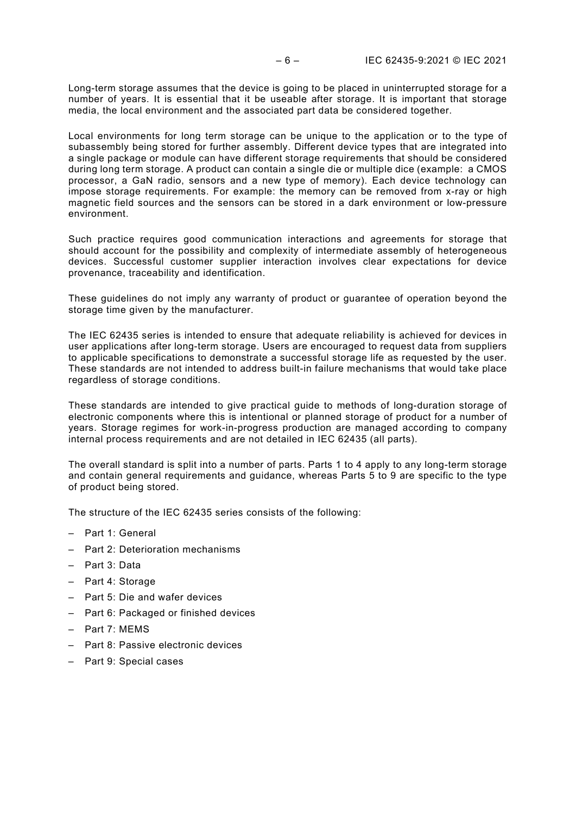Long-term storage assumes that the device is going to be placed in uninterrupted storage for a number of years. It is essential that it be useable after storage. It is important that storage media, the local environment and the associated part data be considered together.

Local environments for long term storage can be unique to the application or to the type of subassembly being stored for further assembly. Different device types that are integrated into a single package or module can have different storage requirements that should be considered during long term storage. A product can contain a single die or multiple dice (example: a CMOS processor, a GaN radio, sensors and a new type of memory). Each device technology can impose storage requirements. For example: the memory can be removed from x-ray or high magnetic field sources and the sensors can be stored in a dark environment or low-pressure environment.

Such practice requires good communication interactions and agreements for storage that should account for the possibility and complexity of intermediate assembly of heterogeneous devices. Successful customer supplier interaction involves clear expectations for device provenance, traceability and identification.

These guidelines do not imply any warranty of product or guarantee of operation beyond the storage time given by the manufacturer.

The IEC 62435 series is intended to ensure that adequate reliability is achieved for devices in user applications after long-term storage. Users are encouraged to request data from suppliers to applicable specifications to demonstrate a successful storage life as requested by the user. These standards are not intended to address built-in failure mechanisms that would take place regardless of storage conditions.

These standards are intended to give practical guide to methods of long-duration storage of electronic components where this is intentional or planned storage of product for a number of years. Storage regimes for work-in-progress production are managed according to company internal process requirements and are not detailed in IEC 62435 (all parts).

The overall standard is split into a number of parts. Parts 1 to 4 apply to any long-term storage and contain general requirements and guidance, whereas Parts 5 to 9 are specific to the type of product being stored.

The structure of the IEC 62435 series consists of the following:

- Part 1: General
- Part 2: Deterioration mechanisms
- Part 3: Data
- Part 4: Storage
- Part 5: Die and wafer devices
- Part 6: Packaged or finished devices
- Part 7: MEMS
- Part 8: Passive electronic devices
- Part 9: Special cases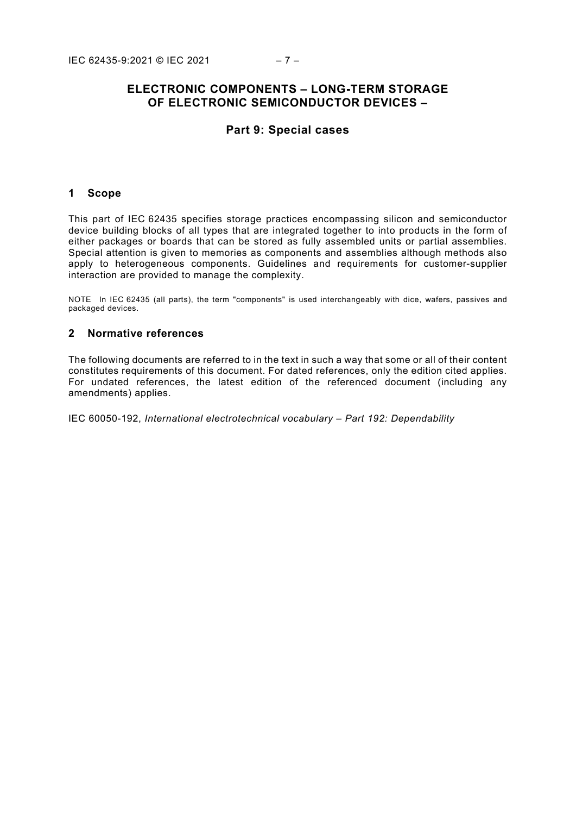## **ELECTRONIC COMPONENTS – LONG-TERM STORAGE OF ELECTRONIC SEMICONDUCTOR DEVICES –**

## **Part 9: Special cases**

#### <span id="page-6-0"></span>**1 Scope**

This part of IEC 62435 specifies storage practices encompassing silicon and semiconductor device building blocks of all types that are integrated together to into products in the form of either packages or boards that can be stored as fully assembled units or partial assemblies. Special attention is given to memories as components and assemblies although methods also apply to heterogeneous components. Guidelines and requirements for customer-supplier interaction are provided to manage the complexity.

NOTE In IEC 62435 (all parts), the term "components" is used interchangeably with dice, wafers, passives and packaged devices.

## <span id="page-6-1"></span>**2 Normative references**

The following documents are referred to in the text in such a way that some or all of their content constitutes requirements of this document. For dated references, only the edition cited applies. For undated references, the latest edition of the referenced document (including any amendments) applies.

<span id="page-6-2"></span>IEC 60050-192, *International electrotechnical vocabulary – Part 192: Dependability*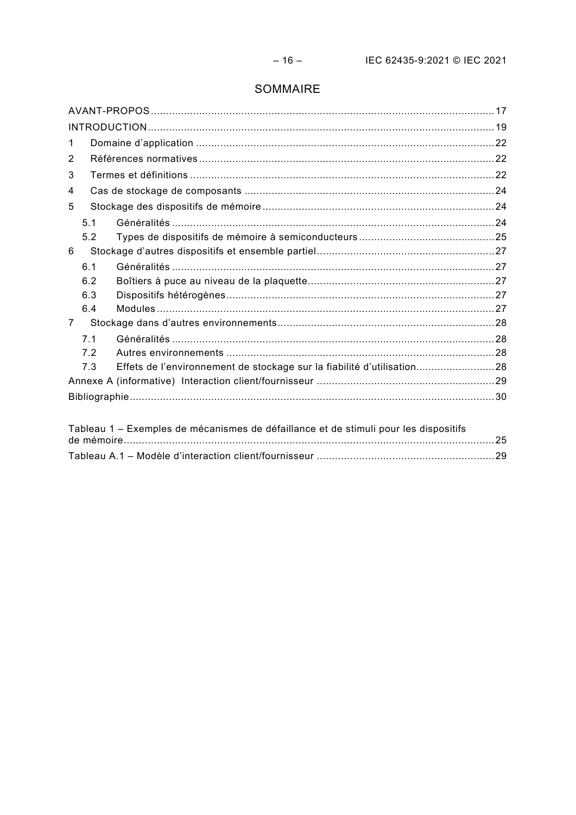# SOMMAIRE

| 1           |     |                                                                                      |  |  |  |  |  |
|-------------|-----|--------------------------------------------------------------------------------------|--|--|--|--|--|
| 2           |     |                                                                                      |  |  |  |  |  |
| 3           |     |                                                                                      |  |  |  |  |  |
| 4           |     |                                                                                      |  |  |  |  |  |
| 5           |     |                                                                                      |  |  |  |  |  |
|             | 5.1 |                                                                                      |  |  |  |  |  |
|             | 5.2 |                                                                                      |  |  |  |  |  |
| 6           |     |                                                                                      |  |  |  |  |  |
|             | 6.1 |                                                                                      |  |  |  |  |  |
|             | 6.2 |                                                                                      |  |  |  |  |  |
|             | 6.3 |                                                                                      |  |  |  |  |  |
|             | 6.4 |                                                                                      |  |  |  |  |  |
| $7^{\circ}$ |     |                                                                                      |  |  |  |  |  |
|             | 7.1 |                                                                                      |  |  |  |  |  |
|             | 72  |                                                                                      |  |  |  |  |  |
|             | 7.3 | Effets de l'environnement de stockage sur la fiabilité d'utilisation28               |  |  |  |  |  |
|             |     |                                                                                      |  |  |  |  |  |
|             |     |                                                                                      |  |  |  |  |  |
|             |     |                                                                                      |  |  |  |  |  |
|             |     | Tableau 1 - Exemples de mécanismes de défaillance et de stimuli pour les dispositifs |  |  |  |  |  |

| Tableau T – Exemples de mécanismes de défaillance et de stimuli pour les dispositifs |  |
|--------------------------------------------------------------------------------------|--|
|                                                                                      |  |
|                                                                                      |  |
|                                                                                      |  |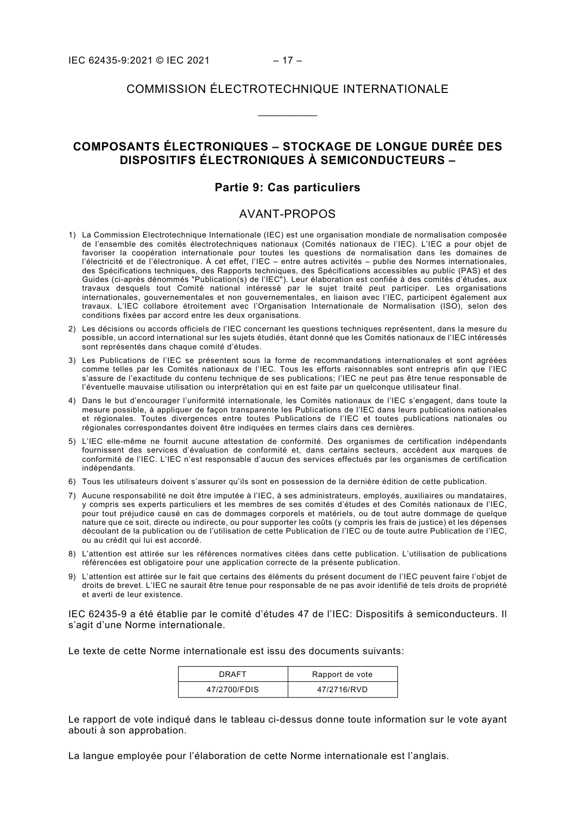## COMMISSION ÉLECTROTECHNIQUE INTERNATIONALE

 $\overline{\phantom{a}}$ 

## **COMPOSANTS ÉLECTRONIQUES – STOCKAGE DE LONGUE DURÉE DES DISPOSITIFS ÉLECTRONIQUES À SEMICONDUCTEURS –**

### **Partie 9: Cas particuliers**

#### AVANT-PROPOS

- <span id="page-8-0"></span>1) La Commission Electrotechnique Internationale (IEC) est une organisation mondiale de normalisation composée de l'ensemble des comités électrotechniques nationaux (Comités nationaux de l'IEC). L'IEC a pour objet de favoriser la coopération internationale pour toutes les questions de normalisation dans les domaines de l'électricité et de l'électronique. À cet effet, l'IEC – entre autres activités – publie des Normes internationales, des Spécifications techniques, des Rapports techniques, des Spécifications accessibles au public (PAS) et des Guides (ci-après dénommés "Publication(s) de l'IEC"). Leur élaboration est confiée à des comités d'études, aux travaux desquels tout Comité national intéressé par le sujet traité peut participer. Les organisations internationales, gouvernementales et non gouvernementales, en liaison avec l'IEC, participent également aux travaux. L'IEC collabore étroitement avec l'Organisation Internationale de Normalisation (ISO), selon des conditions fixées par accord entre les deux organisations.
- 2) Les décisions ou accords officiels de l'IEC concernant les questions techniques représentent, dans la mesure du possible, un accord international sur les sujets étudiés, étant donné que les Comités nationaux de l'IEC intéressés sont représentés dans chaque comité d'études.
- 3) Les Publications de l'IEC se présentent sous la forme de recommandations internationales et sont agréées comme telles par les Comités nationaux de l'IEC. Tous les efforts raisonnables sont entrepris afin que l'IEC s'assure de l'exactitude du contenu technique de ses publications; l'IEC ne peut pas être tenue responsable de l'éventuelle mauvaise utilisation ou interprétation qui en est faite par un quelconque utilisateur final.
- 4) Dans le but d'encourager l'uniformité internationale, les Comités nationaux de l'IEC s'engagent, dans toute la mesure possible, à appliquer de façon transparente les Publications de l'IEC dans leurs publications nationales et régionales. Toutes divergences entre toutes Publications de l'IEC et toutes publications nationales ou régionales correspondantes doivent être indiquées en termes clairs dans ces dernières.
- 5) L'IEC elle-même ne fournit aucune attestation de conformité. Des organismes de certification indépendants fournissent des services d'évaluation de conformité et, dans certains secteurs, accèdent aux marques de conformité de l'IEC. L'IEC n'est responsable d'aucun des services effectués par les organismes de certification indépendants.
- 6) Tous les utilisateurs doivent s'assurer qu'ils sont en possession de la dernière édition de cette publication.
- 7) Aucune responsabilité ne doit être imputée à l'IEC, à ses administrateurs, employés, auxiliaires ou mandataires, y compris ses experts particuliers et les membres de ses comités d'études et des Comités nationaux de l'IEC, pour tout préjudice causé en cas de dommages corporels et matériels, ou de tout autre dommage de quelque nature que ce soit, directe ou indirecte, ou pour supporter les coûts (y compris les frais de justice) et les dépenses découlant de la publication ou de l'utilisation de cette Publication de l'IEC ou de toute autre Publication de l'IEC, ou au crédit qui lui est accordé.
- 8) L'attention est attirée sur les références normatives citées dans cette publication. L'utilisation de publications référencées est obligatoire pour une application correcte de la présente publication.
- 9) L'attention est attirée sur le fait que certains des éléments du présent document de l'IEC peuvent faire l'objet de droits de brevet. L'IEC ne saurait être tenue pour responsable de ne pas avoir identifié de tels droits de propriété et averti de leur existence.

IEC 62435-9 a été établie par le comité d'études 47 de l'IEC: Dispositifs à semiconducteurs. Il s'agit d'une Norme internationale.

Le texte de cette Norme internationale est issu des documents suivants:

| DRAFT        | Rapport de vote |
|--------------|-----------------|
| 47/2700/FDIS | 47/2716/RVD     |

Le rapport de vote indiqué dans le tableau ci-dessus donne toute information sur le vote ayant abouti à son approbation.

La langue employée pour l'élaboration de cette Norme internationale est l'anglais.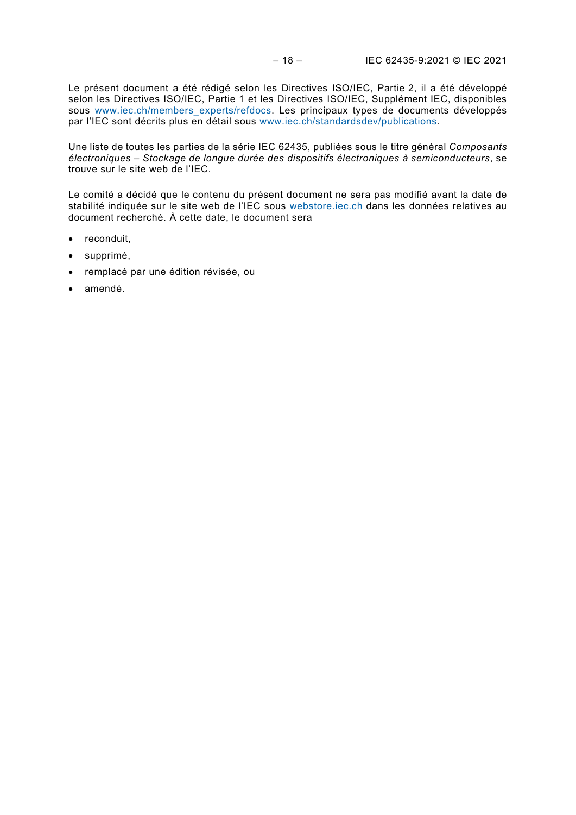Le présent document a été rédigé selon les Directives ISO/IEC, Partie 2, il a été développé selon les Directives ISO/IEC, Partie 1 et les Directives ISO/IEC, Supplément IEC, disponibles sous [www.iec.ch/members\\_experts/refdocs.](http://www.iec.ch/members_experts/refdocs) Les principaux types de documents développés par l'IEC sont décrits plus en détail sous [www.iec.ch/standardsdev/publications.](http://www.iec.ch/standardsdev/publications)

Une liste de toutes les parties de la série IEC 62435, publiées sous le titre général *Composants électroniques – Stockage de longue durée des dispositifs électroniques à semiconducteurs*, se trouve sur le site web de l'IEC.

Le comité a décidé que le contenu du présent document ne sera pas modifié avant la date de stabilité indiquée sur le site web de l'IEC sous [webstore.iec.ch](https://webstore.iec.ch/?ref=menu) dans les données relatives au document recherché. À cette date, le document sera

- reconduit,
- supprimé,
- remplacé par une édition révisée, ou
- amendé.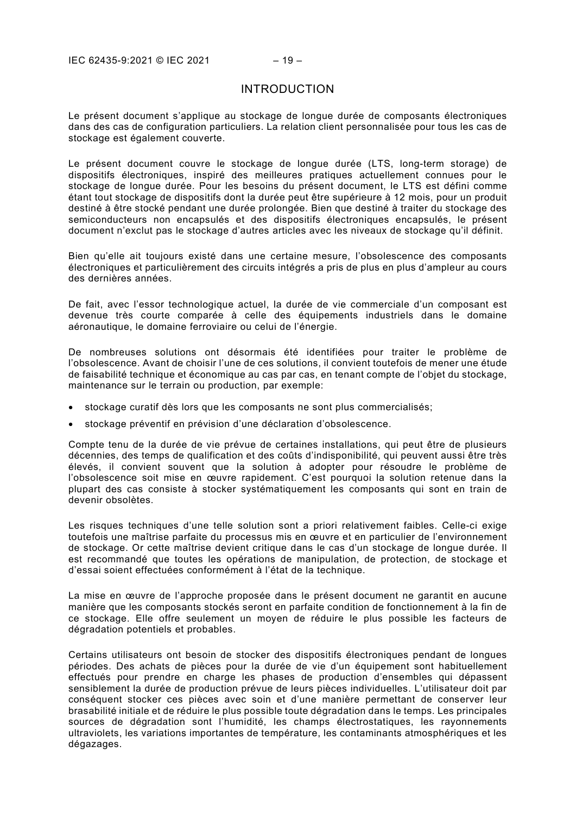## INTRODUCTION

<span id="page-10-0"></span>Le présent document s'applique au stockage de longue durée de composants électroniques dans des cas de configuration particuliers. La relation client personnalisée pour tous les cas de stockage est également couverte.

Le présent document couvre le stockage de longue durée (LTS, long-term storage) de dispositifs électroniques, inspiré des meilleures pratiques actuellement connues pour le stockage de longue durée. Pour les besoins du présent document, le LTS est défini comme étant tout stockage de dispositifs dont la durée peut être supérieure à 12 mois, pour un produit destiné à être stocké pendant une durée prolongée. Bien que destiné à traiter du stockage des semiconducteurs non encapsulés et des dispositifs électroniques encapsulés, le présent document n'exclut pas le stockage d'autres articles avec les niveaux de stockage qu'il définit.

Bien qu'elle ait toujours existé dans une certaine mesure, l'obsolescence des composants électroniques et particulièrement des circuits intégrés a pris de plus en plus d'ampleur au cours des dernières années.

De fait, avec l'essor technologique actuel, la durée de vie commerciale d'un composant est devenue très courte comparée à celle des équipements industriels dans le domaine aéronautique, le domaine ferroviaire ou celui de l'énergie.

De nombreuses solutions ont désormais été identifiées pour traiter le problème de l'obsolescence. Avant de choisir l'une de ces solutions, il convient toutefois de mener une étude de faisabilité technique et économique au cas par cas, en tenant compte de l'objet du stockage, maintenance sur le terrain ou production, par exemple:

- stockage curatif dès lors que les composants ne sont plus commercialisés;
- stockage préventif en prévision d'une déclaration d'obsolescence.

Compte tenu de la durée de vie prévue de certaines installations, qui peut être de plusieurs décennies, des temps de qualification et des coûts d'indisponibilité, qui peuvent aussi être très élevés, il convient souvent que la solution à adopter pour résoudre le problème de l'obsolescence soit mise en œuvre rapidement. C'est pourquoi la solution retenue dans la plupart des cas consiste à stocker systématiquement les composants qui sont en train de devenir obsolètes.

Les risques techniques d'une telle solution sont a priori relativement faibles. Celle-ci exige toutefois une maîtrise parfaite du processus mis en œuvre et en particulier de l'environnement de stockage. Or cette maîtrise devient critique dans le cas d'un stockage de longue durée. Il est recommandé que toutes les opérations de manipulation, de protection, de stockage et d'essai soient effectuées conformément à l'état de la technique.

La mise en œuvre de l'approche proposée dans le présent document ne garantit en aucune manière que les composants stockés seront en parfaite condition de fonctionnement à la fin de ce stockage. Elle offre seulement un moyen de réduire le plus possible les facteurs de dégradation potentiels et probables.

Certains utilisateurs ont besoin de stocker des dispositifs électroniques pendant de longues périodes. Des achats de pièces pour la durée de vie d'un équipement sont habituellement effectués pour prendre en charge les phases de production d'ensembles qui dépassent sensiblement la durée de production prévue de leurs pièces individuelles. L'utilisateur doit par conséquent stocker ces pièces avec soin et d'une manière permettant de conserver leur brasabilité initiale et de réduire le plus possible toute dégradation dans le temps. Les principales sources de dégradation sont l'humidité, les champs électrostatiques, les rayonnements ultraviolets, les variations importantes de température, les contaminants atmosphériques et les dégazages.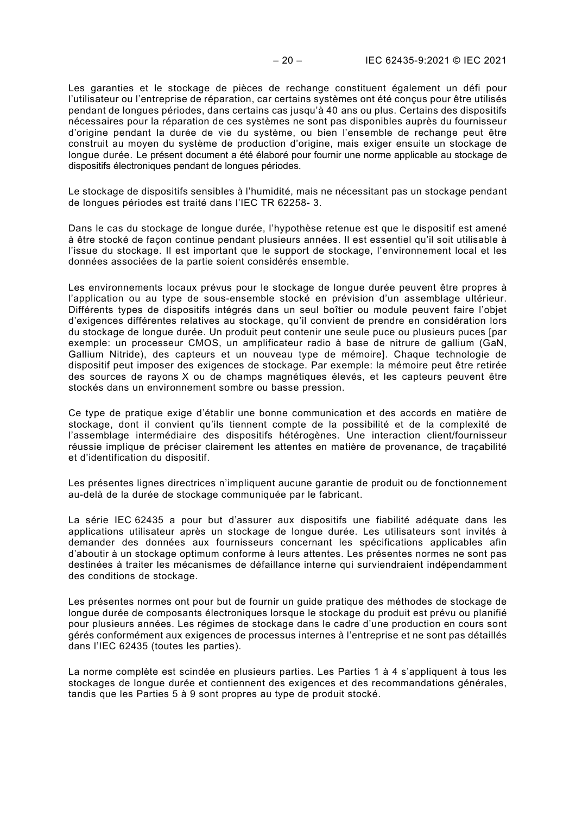Les garanties et le stockage de pièces de rechange constituent également un défi pour l'utilisateur ou l'entreprise de réparation, car certains systèmes ont été conçus pour être utilisés pendant de longues périodes, dans certains cas jusqu'à 40 ans ou plus. Certains des dispositifs nécessaires pour la réparation de ces systèmes ne sont pas disponibles auprès du fournisseur d'origine pendant la durée de vie du système, ou bien l'ensemble de rechange peut être construit au moyen du système de production d'origine, mais exiger ensuite un stockage de longue durée. Le présent document a été élaboré pour fournir une norme applicable au stockage de dispositifs électroniques pendant de longues périodes.

Le stockage de dispositifs sensibles à l'humidité, mais ne nécessitant pas un stockage pendant de longues périodes est traité dans l'IEC TR 62258- 3.

Dans le cas du stockage de longue durée, l'hypothèse retenue est que le dispositif est amené à être stocké de façon continue pendant plusieurs années. Il est essentiel qu'il soit utilisable à l'issue du stockage. Il est important que le support de stockage, l'environnement local et les données associées de la partie soient considérés ensemble.

Les environnements locaux prévus pour le stockage de longue durée peuvent être propres à l'application ou au type de sous-ensemble stocké en prévision d'un assemblage ultérieur. Différents types de dispositifs intégrés dans un seul boîtier ou module peuvent faire l'objet d'exigences différentes relatives au stockage, qu'il convient de prendre en considération lors du stockage de longue durée. Un produit peut contenir une seule puce ou plusieurs puces [par exemple: un processeur CMOS, un amplificateur radio à base de nitrure de gallium (GaN, Gallium Nitride), des capteurs et un nouveau type de mémoire]. Chaque technologie de dispositif peut imposer des exigences de stockage. Par exemple: la mémoire peut être retirée des sources de rayons X ou de champs magnétiques élevés, et les capteurs peuvent être stockés dans un environnement sombre ou basse pression.

Ce type de pratique exige d'établir une bonne communication et des accords en matière de stockage, dont il convient qu'ils tiennent compte de la possibilité et de la complexité de l'assemblage intermédiaire des dispositifs hétérogènes. Une interaction client/fournisseur réussie implique de préciser clairement les attentes en matière de provenance, de traçabilité et d'identification du dispositif.

Les présentes lignes directrices n'impliquent aucune garantie de produit ou de fonctionnement au-delà de la durée de stockage communiquée par le fabricant.

La série IEC 62435 a pour but d'assurer aux dispositifs une fiabilité adéquate dans les applications utilisateur après un stockage de longue durée. Les utilisateurs sont invités à demander des données aux fournisseurs concernant les spécifications applicables afin d'aboutir à un stockage optimum conforme à leurs attentes. Les présentes normes ne sont pas destinées à traiter les mécanismes de défaillance interne qui surviendraient indépendamment des conditions de stockage.

Les présentes normes ont pour but de fournir un guide pratique des méthodes de stockage de longue durée de composants électroniques lorsque le stockage du produit est prévu ou planifié pour plusieurs années. Les régimes de stockage dans le cadre d'une production en cours sont gérés conformément aux exigences de processus internes à l'entreprise et ne sont pas détaillés dans l'IEC 62435 (toutes les parties).

La norme complète est scindée en plusieurs parties. Les Parties 1 à 4 s'appliquent à tous les stockages de longue durée et contiennent des exigences et des recommandations générales, tandis que les Parties 5 à 9 sont propres au type de produit stocké.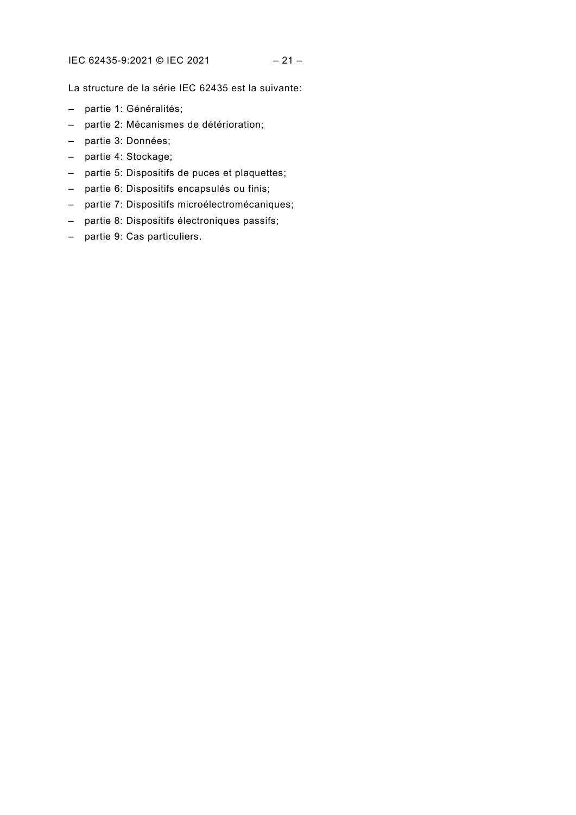La structure de la série IEC 62435 est la suivante:

- partie 1: Généralités;
- partie 2: Mécanismes de détérioration;
- partie 3: Données;
- partie 4: Stockage;
- partie 5: Dispositifs de puces et plaquettes;
- partie 6: Dispositifs encapsulés ou finis;
- partie 7: Dispositifs microélectromécaniques;
- partie 8: Dispositifs électroniques passifs;
- partie 9: Cas particuliers.